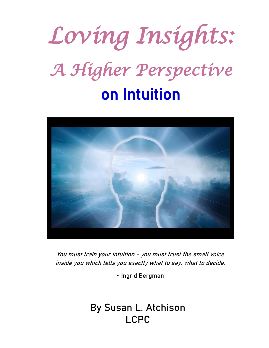



You must train your intuition - [you must trust the small voice](http://thinkexist.com/quotation/you_must_train_your_intuition-you_must_trust_the/195048.html)  [inside you](http://thinkexist.com/quotation/you_must_train_your_intuition-you_must_trust_the/195048.html) [which tells you exactly what to say, what to decide.](http://thinkexist.com/quotation/you_must_train_your_intuition-you_must_trust_the/195048.html)

~ Ingrid Bergman

By Susan L. Atchison LCPC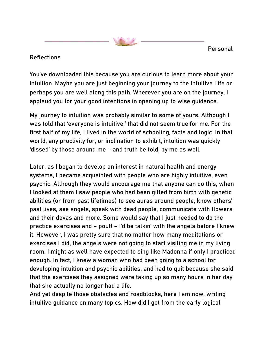Personal

#### **Reflections**

You've downloaded this because you are curious to learn more about your intuition. Maybe you are just beginning your journey to the Intuitive Life or perhaps you are well along this path. Wherever you are on the journey, I applaud you for your good intentions in opening up to wise guidance.

My journey to intuition was probably similar to some of yours. Although I was told that 'everyone is intuitive,' that did not seem true for me. For the first half of my life, I lived in the world of schooling, facts and logic. In that world, any proclivity for, or inclination to exhibit, intuition was quickly 'dissed' by those around me – and truth be told, by me as well.

Later, as I began to develop an interest in natural health and energy systems, I became acquainted with people who are highly intuitive, even psychic. Although they would encourage me that anyone can do this, when I looked at them I saw people who had been gifted from birth with genetic abilities (or from past lifetimes) to see auras around people, know others' past lives, see angels, speak with dead people, communicate with flowers and their devas and more. Some would say that I just needed to do the practice exercises and – pouf! – I'd be talkin' with the angels before I knew it. However, I was pretty sure that no matter how many meditations or exercises I did, the angels were not going to start visiting me in my living room. I might as well have expected to sing like Madonna if only I practiced enough. In fact, I knew a woman who had been going to a school for developing intuition and psychic abilities, and had to quit because she said that the exercises they assigned were taking up so many hours in her day that she actually no longer had a life.

And yet despite those obstacles and roadblocks, here I am now, writing intuitive guidance on many topics. How did I get from the early logical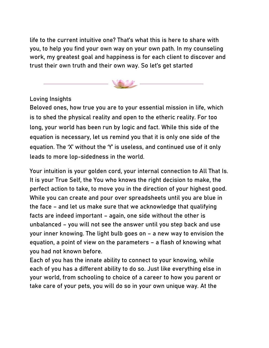life to the current intuitive one? That's what this is here to share with you, to help you find your own way on your own path. In my counseling work, my greatest goal and happiness is for each client to discover and trust their own truth and their own way. So let's get started



## Loving Insights

Beloved ones, how true you are to your essential mission in life, which is to shed the physical reality and open to the etheric reality. For too long, your world has been run by logic and fact. While this side of the equation is necessary, let us remind you that it is only one side of the equation. The 'X' without the 'Y' is useless, and continued use of it only leads to more lop-sidedness in the world.

Your intuition is your golden cord, your internal connection to All That Is. It is your True Self, the You who knows the right decision to make, the perfect action to take, to move you in the direction of your highest good. While you can create and pour over spreadsheets until you are blue in the face – and let us make sure that we acknowledge that qualifying facts are indeed important – again, one side without the other is unbalanced – you will not see the answer until you step back and use your inner knowing. The light bulb goes on – a new way to envision the equation, a point of view on the parameters – a flash of knowing what you had not known before.

Each of you has the innate ability to connect to your knowing, while each of you has a different ability to do so. Just like everything else in your world, from schooling to choice of a career to how you parent or take care of your pets, you will do so in your own unique way. At the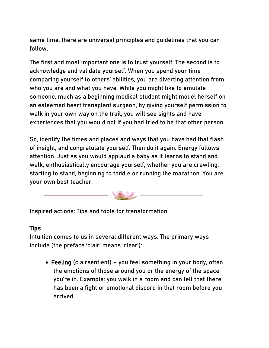same time, there are universal principles and guidelines that you can follow.

The first and most important one is to trust yourself. The second is to acknowledge and validate yourself. When you spend your time comparing yourself to others' abilities, you are diverting attention from who you are and what you have. While you might like to emulate someone, much as a beginning medical student might model herself on an esteemed heart transplant surgeon, by giving yourself permission to walk in your own way on the trail, you will see sights and have experiences that you would not if you had tried to be that other person.

So, identify the times and places and ways that you have had that flash of insight, and congratulate yourself. Then do it again. Energy follows attention. Just as you would applaud a baby as it learns to stand and walk, enthusiastically encourage yourself, whether you are crawling, starting to stand, beginning to toddle or running the marathon. You are your own best teacher.



Inspired actions: Tips and tools for transformation

#### **Tips**

Intuition comes to us in several different ways. The primary ways include (the preface 'clair' means 'clear'):

• Feeling (clairsentient) – you feel something in your body, often the emotions of those around you or the energy of the space you're in. Example: you walk in a room and can tell that there has been a fight or emotional discord in that room before you arrived.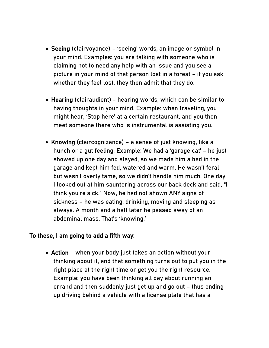- Seeing (clairvoyance) 'seeing' words, an image or symbol in your mind. Examples: you are talking with someone who is claiming not to need any help with an issue and you see a picture in your mind of that person lost in a forest – if you ask whether they feel lost, they then admit that they do.
- Hearing (clairaudient) hearing words, which can be similar to having thoughts in your mind. Example: when traveling, you might hear, 'Stop here' at a certain restaurant, and you then meet someone there who is instrumental is assisting you.
- Knowing (claircognizance) a sense of just knowing, like a hunch or a gut feeling. Example: We had a 'garage cat' – he just showed up one day and stayed, so we made him a bed in the garage and kept him fed, watered and warm. He wasn't feral but wasn't overly tame, so we didn't handle him much. One day I looked out at him sauntering across our back deck and said, "I think you're sick." Now, he had not shown ANY signs of sickness – he was eating, drinking, moving and sleeping as always. A month and a half later he passed away of an abdominal mass. That's 'knowing.'

#### To these, I am going to add a fifth way:

• Action – when your body just takes an action without your thinking about it, and that something turns out to put you in the right place at the right time or get you the right resource. Example: you have been thinking all day about running an errand and then suddenly just get up and go out – thus ending up driving behind a vehicle with a license plate that has a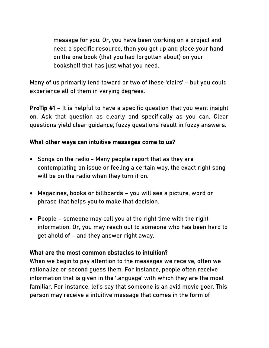message for you. Or, you have been working on a project and need a specific resource, then you get up and place your hand on the one book (that you had forgotten about) on your bookshelf that has just what you need.

Many of us primarily tend toward or two of these 'clairs' – but you could experience all of them in varying degrees.

ProTip #1 – It is helpful to have a specific question that you want insight on. Ask that question as clearly and specifically as you can. Clear questions yield clear guidance; fuzzy questions result in fuzzy answers.

#### What other ways can intuitive messages come to us?

- Songs on the radio Many people report that as they are contemplating an issue or feeling a certain way, the exact right song will be on the radio when they turn it on.
- Magazines, books or billboards you will see a picture, word or phrase that helps you to make that decision.
- People someone may call you at the right time with the right information. Or, you may reach out to someone who has been hard to get ahold of – and they answer right away.

#### What are the most common obstacles to intuition?

When we begin to pay attention to the messages we receive, often we rationalize or second guess them. For instance, people often receive information that is given in the 'language' with which they are the most familiar. For instance, let's say that someone is an avid movie goer. This person may receive a intuitive message that comes in the form of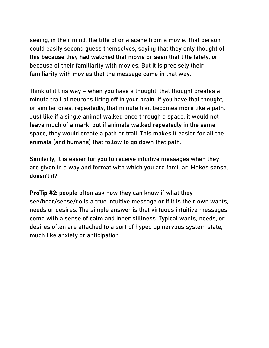seeing, in their mind, the title of or a scene from a movie. That person could easily second guess themselves, saying that they only thought of this because they had watched that movie or seen that title lately, or because of their familiarity with movies. But it is precisely their familiarity with movies that the message came in that way.

Think of it this way – when you have a thought, that thought creates a minute trail of neurons firing off in your brain. If you have that thought, or similar ones, repeatedly, that minute trail becomes more like a path. Just like if a single animal walked once through a space, it would not leave much of a mark, but if animals walked repeatedly in the same space, they would create a path or trail. This makes it easier for all the animals (and humans) that follow to go down that path.

Similarly, it is easier for you to receive intuitive messages when they are given in a way and format with which you are familiar. Makes sense, doesn't it?

ProTip #2: people often ask how they can know if what they see/hear/sense/do is a true intuitive message or if it is their own wants, needs or desires. The simple answer is that virtuous intuitive messages come with a sense of calm and inner stillness. Typical wants, needs, or desires often are attached to a sort of hyped up nervous system state, much like anxiety or anticipation.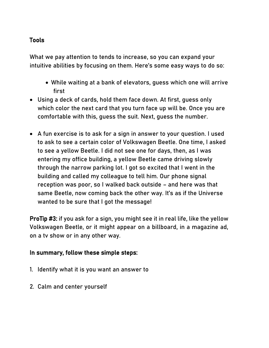## Tools

What we pay attention to tends to increase, so you can expand your intuitive abilities by focusing on them. Here's some easy ways to do so:

- While waiting at a bank of elevators, guess which one will arrive first
- Using a deck of cards, hold them face down. At first, guess only which color the next card that you turn face up will be. Once you are comfortable with this, guess the suit. Next, guess the number.
- A fun exercise is to ask for a sign in answer to your question. I used to ask to see a certain color of Volkswagen Beetle. One time, I asked to see a yellow Beetle. I did not see one for days, then, as I was entering my office building, a yellow Beetle came driving slowly through the narrow parking lot. I got so excited that I went in the building and called my colleague to tell him. Our phone signal reception was poor, so I walked back outside – and here was that same Beetle, now coming back the other way. It's as if the Universe wanted to be sure that I got the message!

ProTip #3: if you ask for a sign, you might see it in real life, like the yellow Volkswagen Beetle, or it might appear on a billboard, in a magazine ad, on a tv show or in any other way.

#### In summary, follow these simple steps:

- 1. Identify what it is you want an answer to
- 2. Calm and center yourself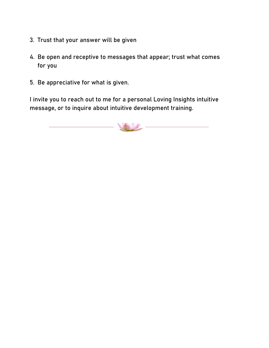- 3. Trust that your answer will be given
- 4. Be open and receptive to messages that appear; trust what comes for you
- 5. Be appreciative for what is given.

I invite you to reach out to me for a personal Loving Insights intuitive message, or to inquire about intuitive development training.